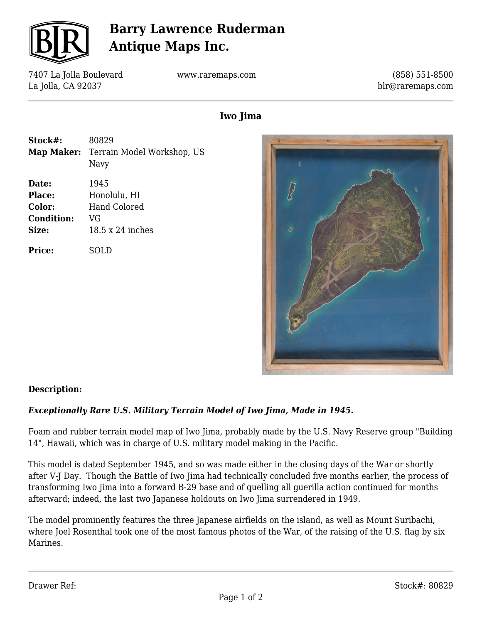

# **Barry Lawrence Ruderman Antique Maps Inc.**

7407 La Jolla Boulevard La Jolla, CA 92037

www.raremaps.com

(858) 551-8500 blr@raremaps.com

# **Iwo Jima**

**Stock#:** 80829 **Map Maker:** Terrain Model Workshop, US Navy **Date:** 1945 Place: Honolulu, HI **Color:** Hand Colored **Condition:** VG **Size:** 18.5 x 24 inches

**Price:** SOLD



## **Description:**

## *Exceptionally Rare U.S. Military Terrain Model of Iwo Jima, Made in 1945.*

Foam and rubber terrain model map of Iwo Jima, probably made by the U.S. Navy Reserve group "Building 14", Hawaii, which was in charge of U.S. military model making in the Pacific.

This model is dated September 1945, and so was made either in the closing days of the War or shortly after V-J Day. Though the Battle of Iwo Jima had technically concluded five months earlier, the process of transforming Iwo Jima into a forward B-29 base and of quelling all guerilla action continued for months afterward; indeed, the last two Japanese holdouts on Iwo Jima surrendered in 1949.

The model prominently features the three Japanese airfields on the island, as well as Mount Suribachi, where Joel Rosenthal took one of the most famous photos of the War, of the raising of the U.S. flag by six Marines.